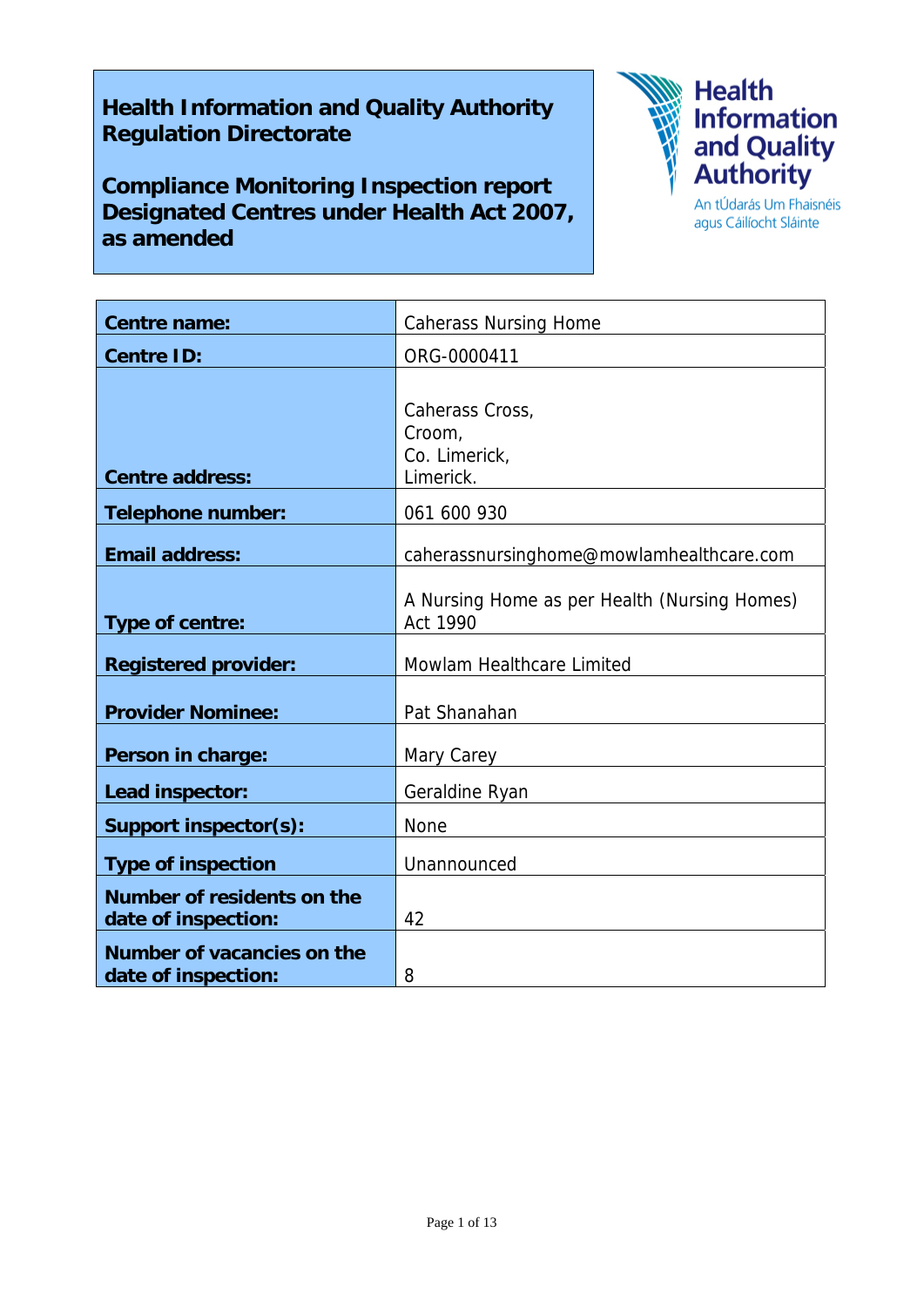# **Health Information and Quality Authority Regulation Directorate**

**Compliance Monitoring Inspection report Designated Centres under Health Act 2007, as amended** 



agus Cáilíocht Sláinte

| <b>Centre name:</b>                               | <b>Caherass Nursing Home</b>                             |
|---------------------------------------------------|----------------------------------------------------------|
| <b>Centre ID:</b>                                 | ORG-0000411                                              |
|                                                   |                                                          |
|                                                   | Caherass Cross,                                          |
|                                                   | Croom,<br>Co. Limerick,                                  |
| <b>Centre address:</b>                            | Limerick.                                                |
| <b>Telephone number:</b>                          | 061 600 930                                              |
| <b>Email address:</b>                             | caherassnursinghome@mowlamhealthcare.com                 |
| Type of centre:                                   | A Nursing Home as per Health (Nursing Homes)<br>Act 1990 |
| <b>Registered provider:</b>                       | Mowlam Healthcare Limited                                |
| <b>Provider Nominee:</b>                          | Pat Shanahan                                             |
| Person in charge:                                 | Mary Carey                                               |
| Lead inspector:                                   | Geraldine Ryan                                           |
| <b>Support inspector(s):</b>                      | <b>None</b>                                              |
| <b>Type of inspection</b>                         | Unannounced                                              |
| Number of residents on the<br>date of inspection: | 42                                                       |
| Number of vacancies on the<br>date of inspection: | 8                                                        |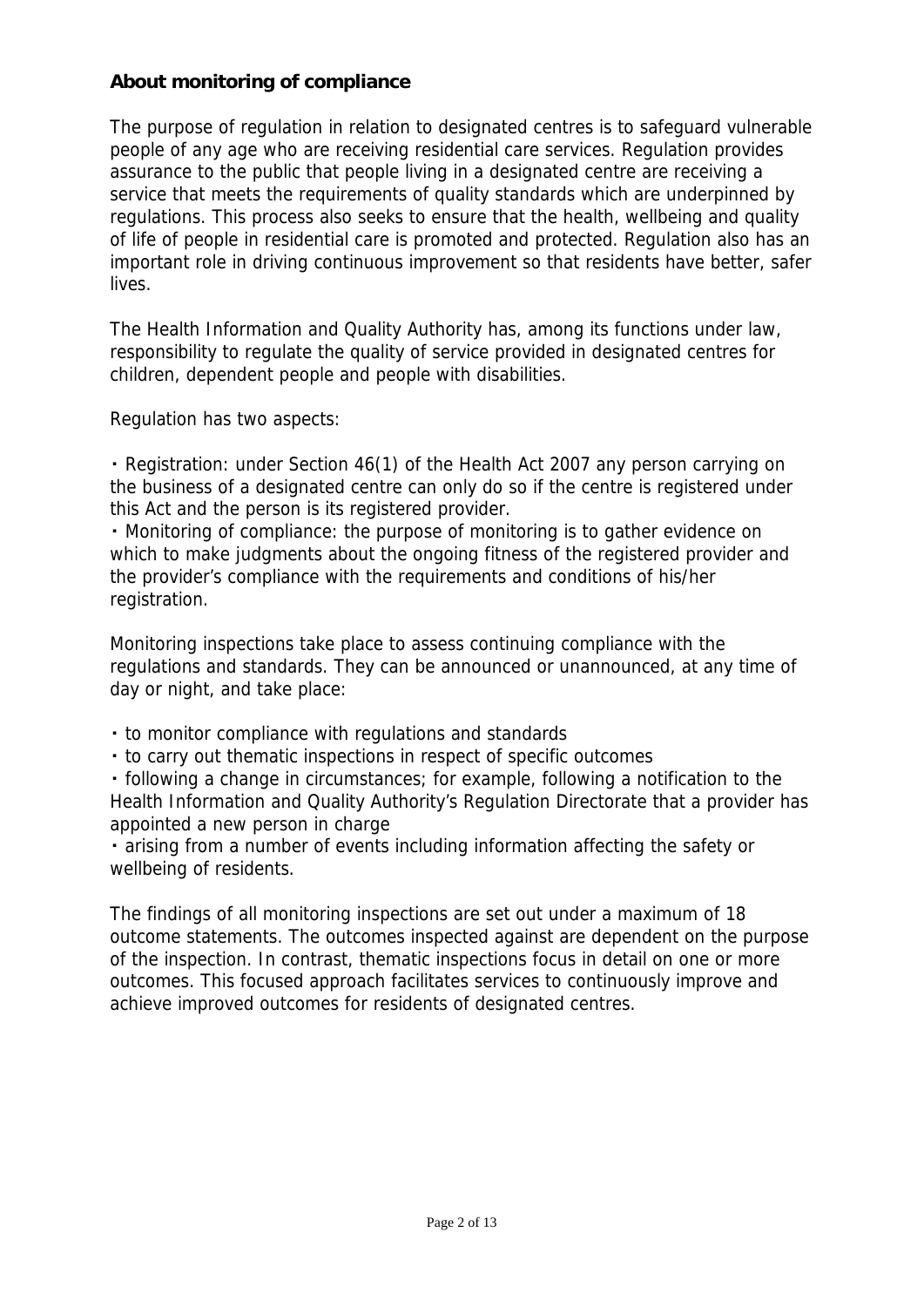## **About monitoring of compliance**

The purpose of regulation in relation to designated centres is to safeguard vulnerable people of any age who are receiving residential care services. Regulation provides assurance to the public that people living in a designated centre are receiving a service that meets the requirements of quality standards which are underpinned by regulations. This process also seeks to ensure that the health, wellbeing and quality of life of people in residential care is promoted and protected. Regulation also has an important role in driving continuous improvement so that residents have better, safer lives.

The Health Information and Quality Authority has, among its functions under law, responsibility to regulate the quality of service provided in designated centres for children, dependent people and people with disabilities.

Regulation has two aspects:

・ Registration: under Section 46(1) of the Health Act 2007 any person carrying on the business of a designated centre can only do so if the centre is registered under this Act and the person is its registered provider.

・ Monitoring of compliance: the purpose of monitoring is to gather evidence on which to make judgments about the ongoing fitness of the registered provider and the provider's compliance with the requirements and conditions of his/her registration.

Monitoring inspections take place to assess continuing compliance with the regulations and standards. They can be announced or unannounced, at any time of day or night, and take place:

- ・ to monitor compliance with regulations and standards
- ・ to carry out thematic inspections in respect of specific outcomes

・ following a change in circumstances; for example, following a notification to the Health Information and Quality Authority's Regulation Directorate that a provider has appointed a new person in charge

・ arising from a number of events including information affecting the safety or wellbeing of residents.

The findings of all monitoring inspections are set out under a maximum of 18 outcome statements. The outcomes inspected against are dependent on the purpose of the inspection. In contrast, thematic inspections focus in detail on one or more outcomes. This focused approach facilitates services to continuously improve and achieve improved outcomes for residents of designated centres.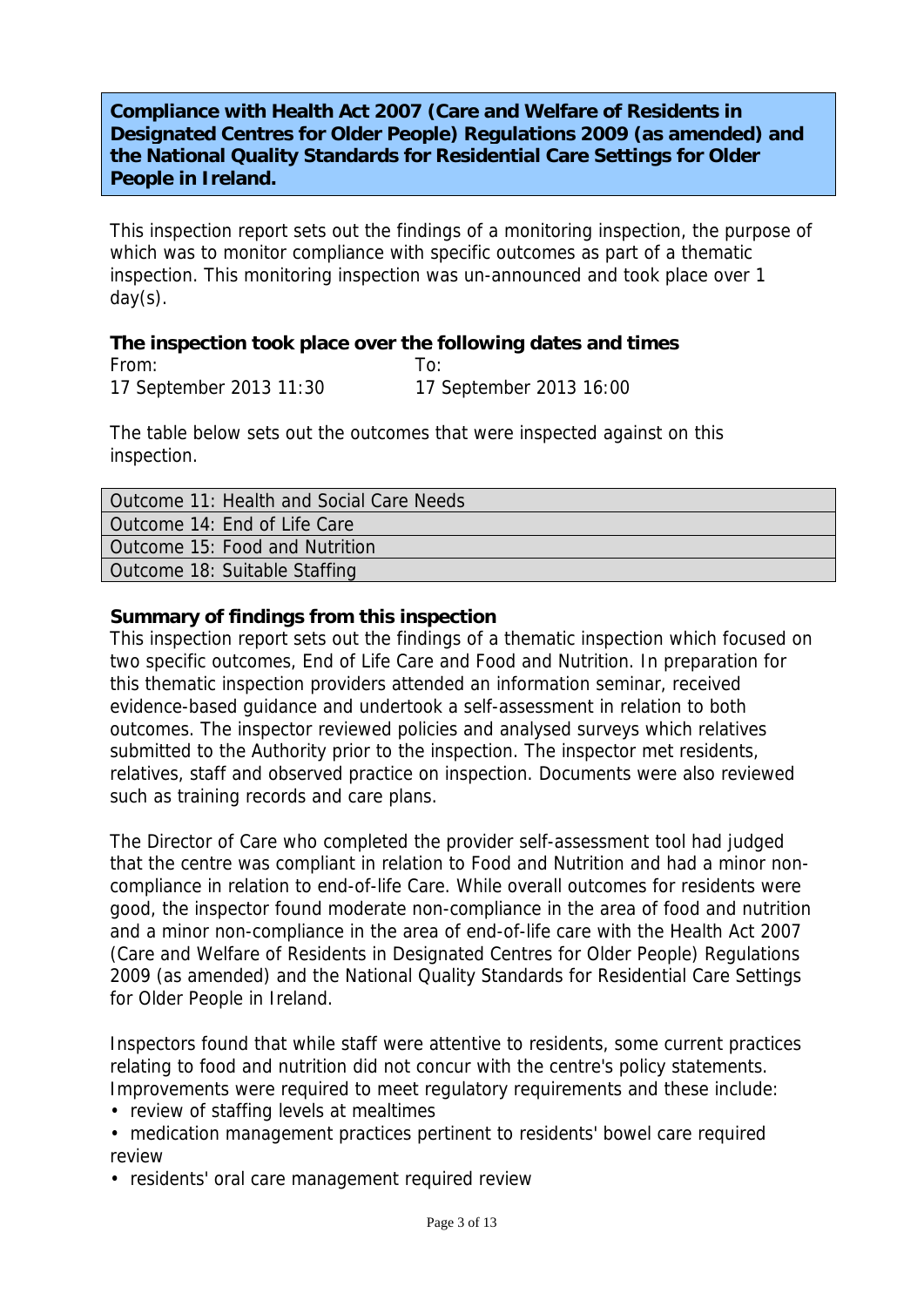## **Compliance with Health Act 2007 (Care and Welfare of Residents in Designated Centres for Older People) Regulations 2009 (as amended) and the National Quality Standards for Residential Care Settings for Older People in Ireland.**

This inspection report sets out the findings of a monitoring inspection, the purpose of which was to monitor compliance with specific outcomes as part of a thematic inspection. This monitoring inspection was un-announced and took place over 1 day(s).

### **The inspection took place over the following dates and times**

| From:                   |                         |
|-------------------------|-------------------------|
| 17 September 2013 11:30 | 17 September 2013 16:00 |

The table below sets out the outcomes that were inspected against on this inspection.

| Outcome 11: Health and Social Care Needs |
|------------------------------------------|
| Outcome 14: End of Life Care             |
| Outcome 15: Food and Nutrition           |
| Outcome 18: Suitable Staffing            |

### **Summary of findings from this inspection**

This inspection report sets out the findings of a thematic inspection which focused on two specific outcomes, End of Life Care and Food and Nutrition. In preparation for this thematic inspection providers attended an information seminar, received evidence-based guidance and undertook a self-assessment in relation to both outcomes. The inspector reviewed policies and analysed surveys which relatives submitted to the Authority prior to the inspection. The inspector met residents, relatives, staff and observed practice on inspection. Documents were also reviewed such as training records and care plans.

The Director of Care who completed the provider self-assessment tool had judged that the centre was compliant in relation to Food and Nutrition and had a minor noncompliance in relation to end-of-life Care. While overall outcomes for residents were good, the inspector found moderate non-compliance in the area of food and nutrition and a minor non-compliance in the area of end-of-life care with the Health Act 2007 (Care and Welfare of Residents in Designated Centres for Older People) Regulations 2009 (as amended) and the National Quality Standards for Residential Care Settings for Older People in Ireland.

Inspectors found that while staff were attentive to residents, some current practices relating to food and nutrition did not concur with the centre's policy statements. Improvements were required to meet regulatory requirements and these include:

- review of staffing levels at mealtimes
- medication management practices pertinent to residents' bowel care required review
- residents' oral care management required review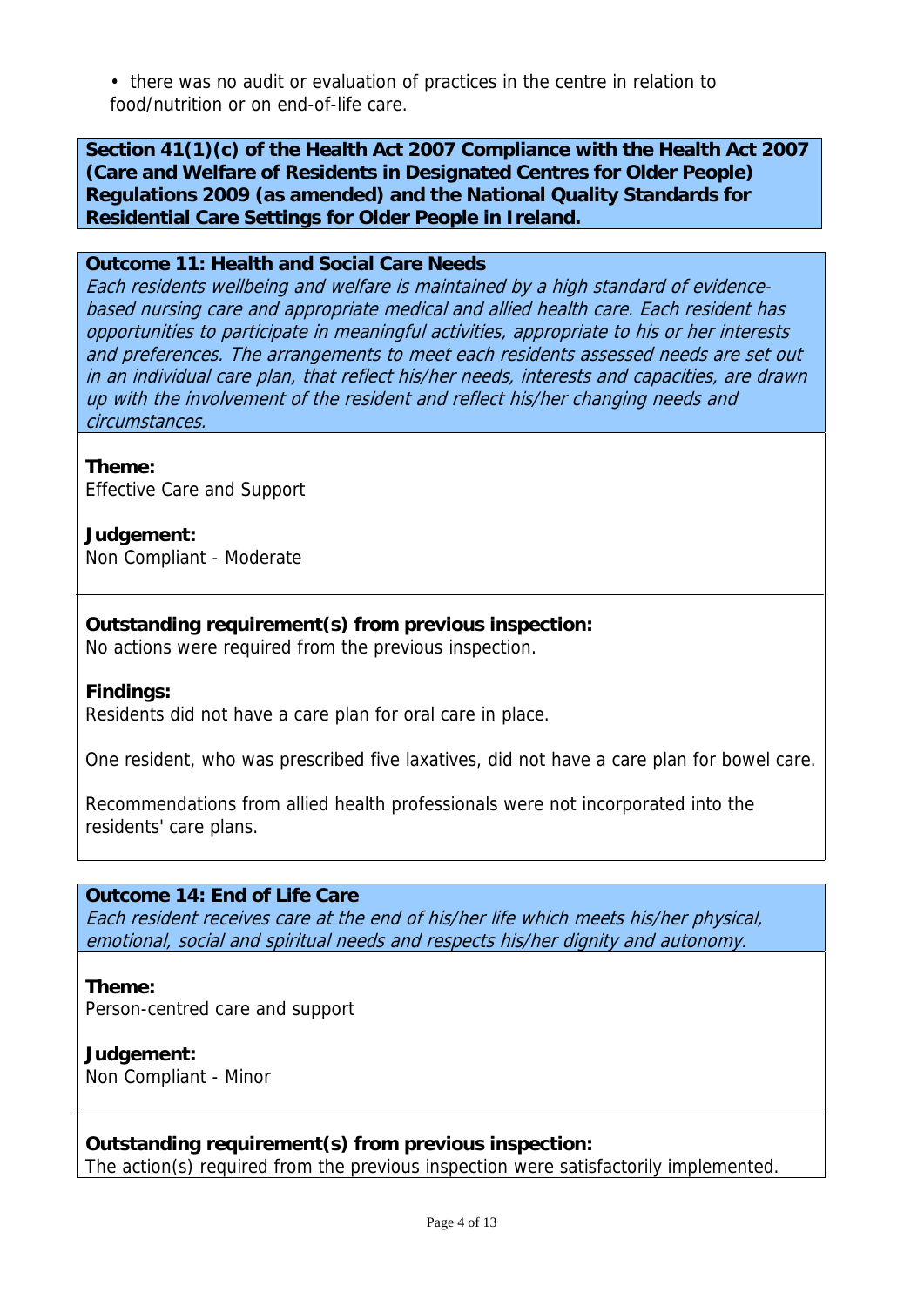• there was no audit or evaluation of practices in the centre in relation to food/nutrition or on end-of-life care.

**Section 41(1)(c) of the Health Act 2007 Compliance with the Health Act 2007 (Care and Welfare of Residents in Designated Centres for Older People) Regulations 2009 (as amended) and the National Quality Standards for Residential Care Settings for Older People in Ireland.** 

### **Outcome 11: Health and Social Care Needs**

Each residents wellbeing and welfare is maintained by a high standard of evidencebased nursing care and appropriate medical and allied health care. Each resident has opportunities to participate in meaningful activities, appropriate to his or her interests and preferences. The arrangements to meet each residents assessed needs are set out in an individual care plan, that reflect his/her needs, interests and capacities, are drawn up with the involvement of the resident and reflect his/her changing needs and circumstances.

#### **Theme:**

Effective Care and Support

# **Judgement:**

Non Compliant - Moderate

**Outstanding requirement(s) from previous inspection:**

No actions were required from the previous inspection.

### **Findings:**

Residents did not have a care plan for oral care in place.

One resident, who was prescribed five laxatives, did not have a care plan for bowel care.

Recommendations from allied health professionals were not incorporated into the residents' care plans.

### **Outcome 14: End of Life Care**

Each resident receives care at the end of his/her life which meets his/her physical, emotional, social and spiritual needs and respects his/her dignity and autonomy.

**Theme:**  Person-centred care and support

**Judgement:** Non Compliant - Minor

### **Outstanding requirement(s) from previous inspection:**

The action(s) required from the previous inspection were satisfactorily implemented.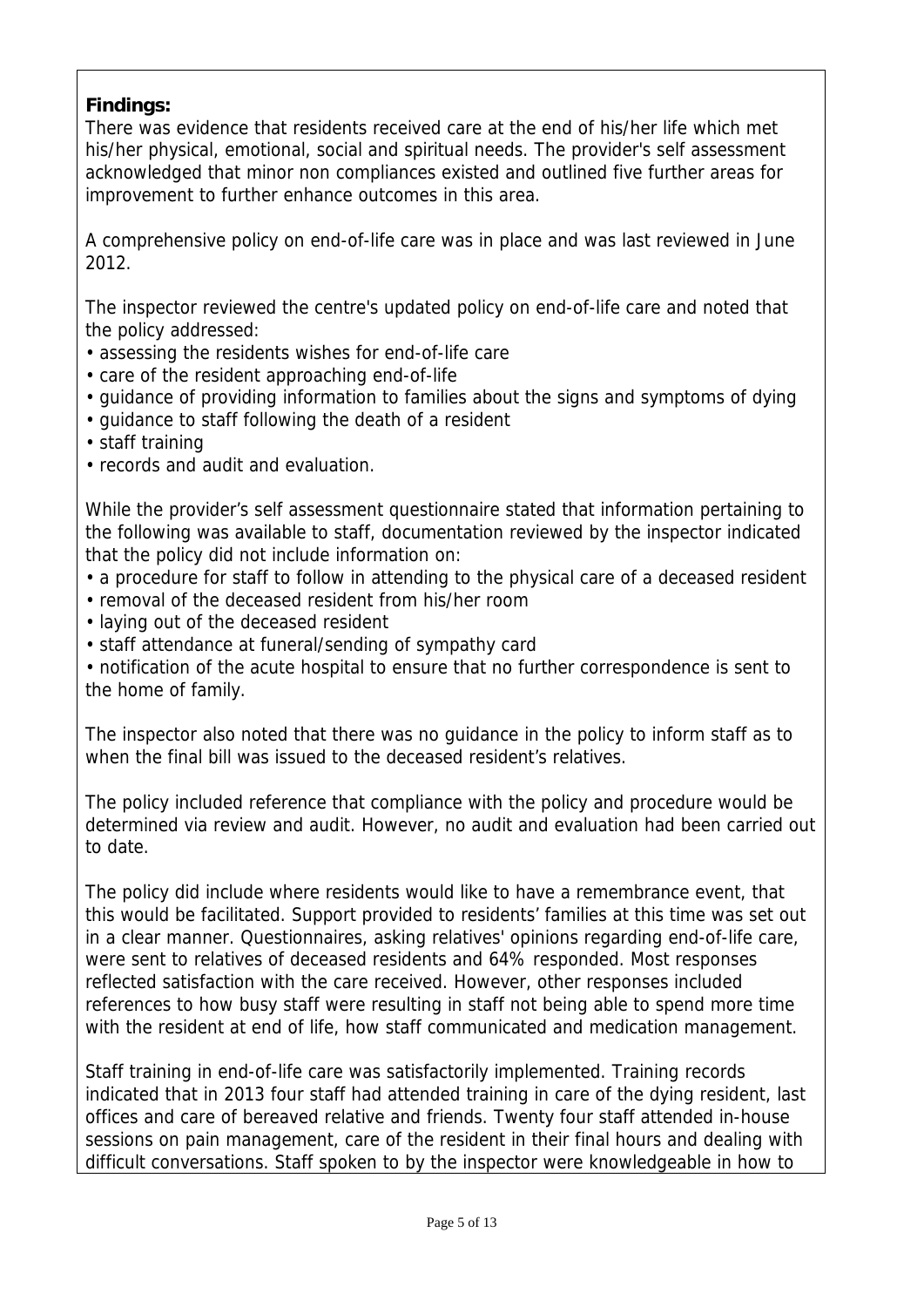# **Findings:**

There was evidence that residents received care at the end of his/her life which met his/her physical, emotional, social and spiritual needs. The provider's self assessment acknowledged that minor non compliances existed and outlined five further areas for improvement to further enhance outcomes in this area.

A comprehensive policy on end-of-life care was in place and was last reviewed in June 2012.

The inspector reviewed the centre's updated policy on end-of-life care and noted that the policy addressed:

- assessing the residents wishes for end-of-life care
- care of the resident approaching end-of-life
- guidance of providing information to families about the signs and symptoms of dying
- guidance to staff following the death of a resident
- staff training
- records and audit and evaluation.

While the provider's self assessment questionnaire stated that information pertaining to the following was available to staff, documentation reviewed by the inspector indicated that the policy did not include information on:

- a procedure for staff to follow in attending to the physical care of a deceased resident
- removal of the deceased resident from his/her room
- laying out of the deceased resident
- staff attendance at funeral/sending of sympathy card

• notification of the acute hospital to ensure that no further correspondence is sent to the home of family.

The inspector also noted that there was no guidance in the policy to inform staff as to when the final bill was issued to the deceased resident's relatives.

The policy included reference that compliance with the policy and procedure would be determined via review and audit. However, no audit and evaluation had been carried out to date.

The policy did include where residents would like to have a remembrance event, that this would be facilitated. Support provided to residents' families at this time was set out in a clear manner. Questionnaires, asking relatives' opinions regarding end-of-life care, were sent to relatives of deceased residents and 64% responded. Most responses reflected satisfaction with the care received. However, other responses included references to how busy staff were resulting in staff not being able to spend more time with the resident at end of life, how staff communicated and medication management.

Staff training in end-of-life care was satisfactorily implemented. Training records indicated that in 2013 four staff had attended training in care of the dying resident, last offices and care of bereaved relative and friends. Twenty four staff attended in-house sessions on pain management, care of the resident in their final hours and dealing with difficult conversations. Staff spoken to by the inspector were knowledgeable in how to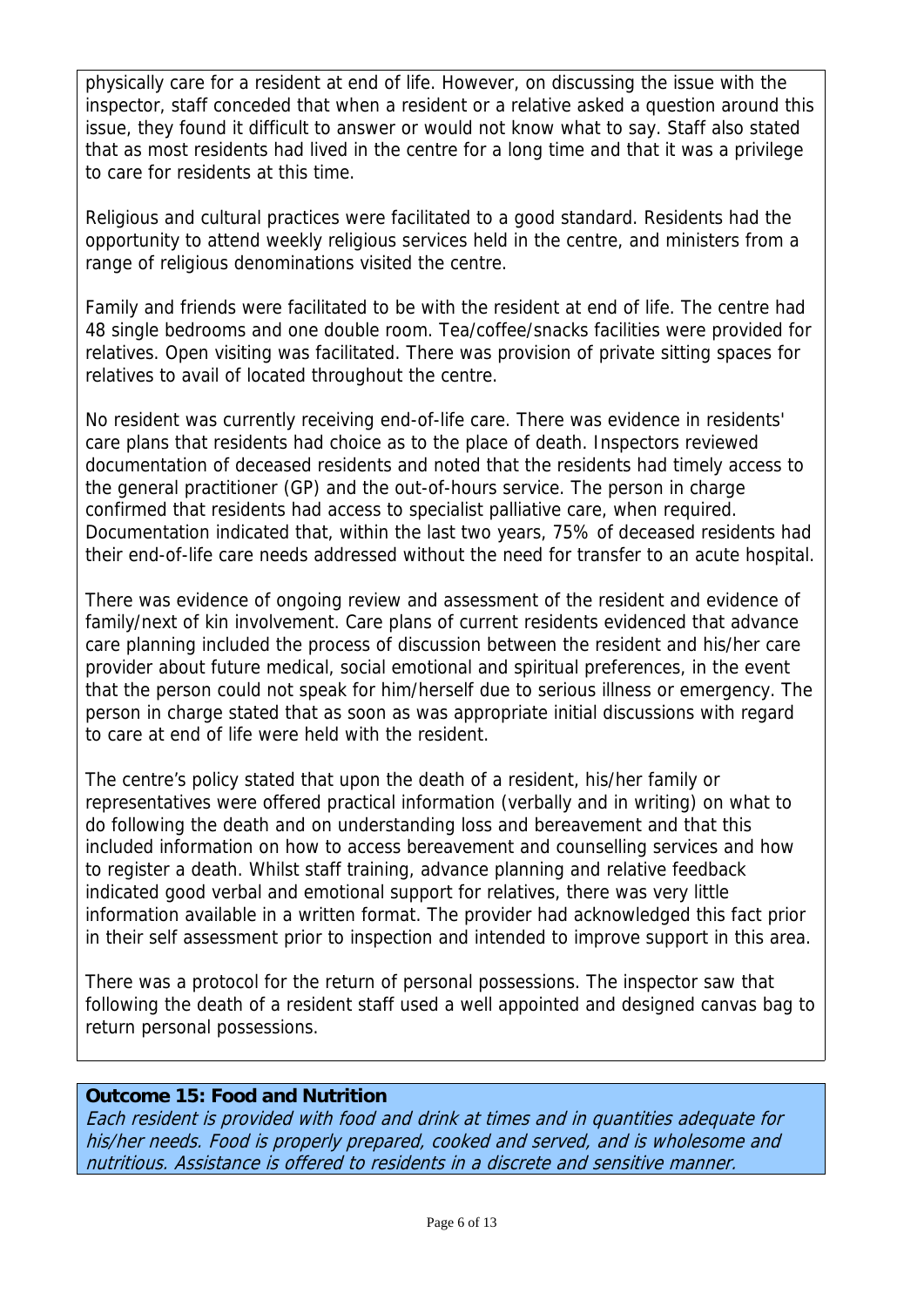physically care for a resident at end of life. However, on discussing the issue with the inspector, staff conceded that when a resident or a relative asked a question around this issue, they found it difficult to answer or would not know what to say. Staff also stated that as most residents had lived in the centre for a long time and that it was a privilege to care for residents at this time.

Religious and cultural practices were facilitated to a good standard. Residents had the opportunity to attend weekly religious services held in the centre, and ministers from a range of religious denominations visited the centre.

Family and friends were facilitated to be with the resident at end of life. The centre had 48 single bedrooms and one double room. Tea/coffee/snacks facilities were provided for relatives. Open visiting was facilitated. There was provision of private sitting spaces for relatives to avail of located throughout the centre.

No resident was currently receiving end-of-life care. There was evidence in residents' care plans that residents had choice as to the place of death. Inspectors reviewed documentation of deceased residents and noted that the residents had timely access to the general practitioner (GP) and the out-of-hours service. The person in charge confirmed that residents had access to specialist palliative care, when required. Documentation indicated that, within the last two years, 75% of deceased residents had their end-of-life care needs addressed without the need for transfer to an acute hospital.

There was evidence of ongoing review and assessment of the resident and evidence of family/next of kin involvement. Care plans of current residents evidenced that advance care planning included the process of discussion between the resident and his/her care provider about future medical, social emotional and spiritual preferences, in the event that the person could not speak for him/herself due to serious illness or emergency. The person in charge stated that as soon as was appropriate initial discussions with regard to care at end of life were held with the resident.

The centre's policy stated that upon the death of a resident, his/her family or representatives were offered practical information (verbally and in writing) on what to do following the death and on understanding loss and bereavement and that this included information on how to access bereavement and counselling services and how to register a death. Whilst staff training, advance planning and relative feedback indicated good verbal and emotional support for relatives, there was very little information available in a written format. The provider had acknowledged this fact prior in their self assessment prior to inspection and intended to improve support in this area.

There was a protocol for the return of personal possessions. The inspector saw that following the death of a resident staff used a well appointed and designed canvas bag to return personal possessions.

## **Outcome 15: Food and Nutrition**

Each resident is provided with food and drink at times and in quantities adequate for his/her needs. Food is properly prepared, cooked and served, and is wholesome and nutritious. Assistance is offered to residents in a discrete and sensitive manner.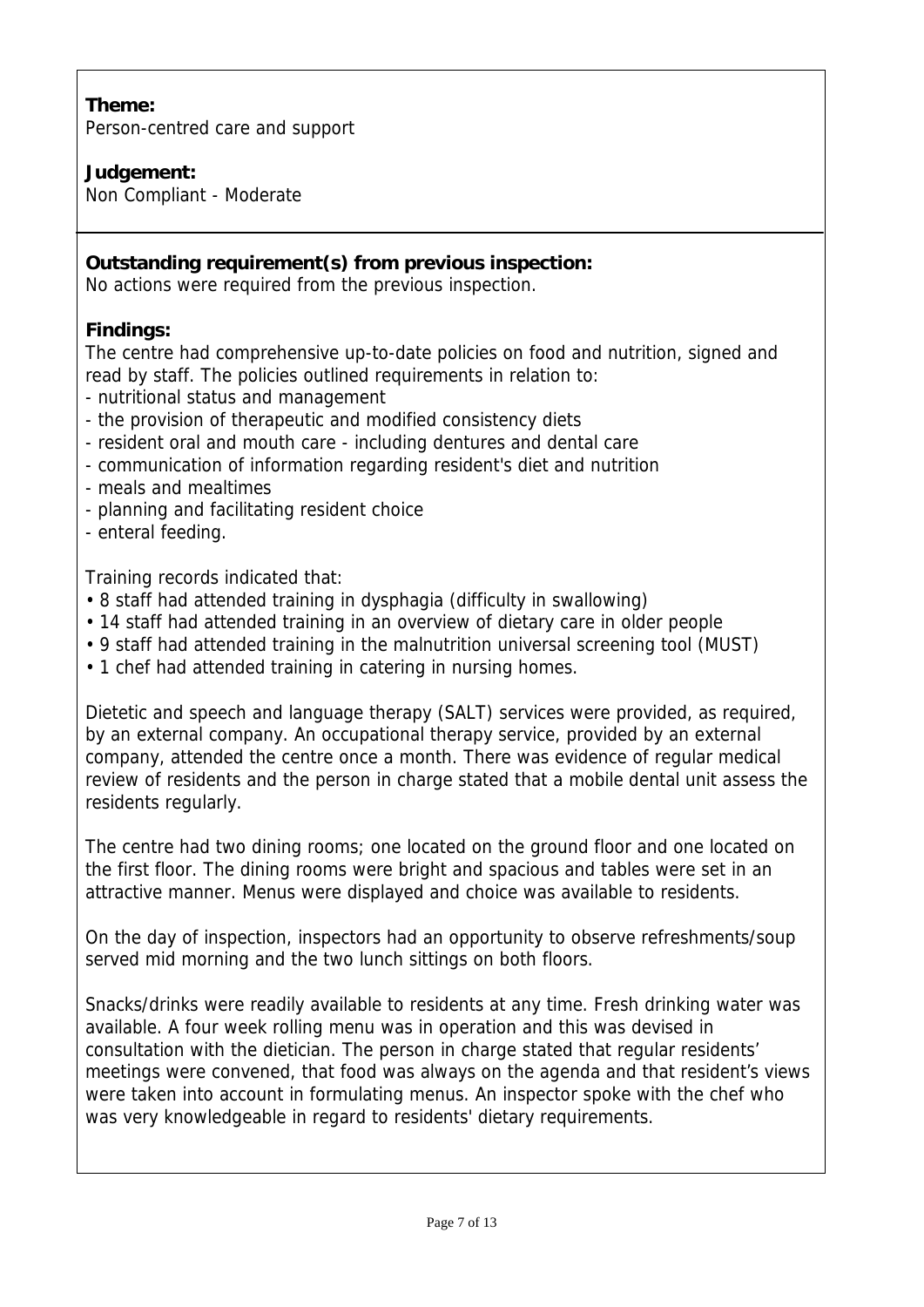# **Theme:**

Person-centred care and support

## **Judgement:**

Non Compliant - Moderate

## **Outstanding requirement(s) from previous inspection:**

No actions were required from the previous inspection.

## **Findings:**

The centre had comprehensive up-to-date policies on food and nutrition, signed and read by staff. The policies outlined requirements in relation to:

- nutritional status and management
- the provision of therapeutic and modified consistency diets
- resident oral and mouth care including dentures and dental care
- communication of information regarding resident's diet and nutrition
- meals and mealtimes
- planning and facilitating resident choice
- enteral feeding.

Training records indicated that:

- 8 staff had attended training in dysphagia (difficulty in swallowing)
- 14 staff had attended training in an overview of dietary care in older people
- 9 staff had attended training in the malnutrition universal screening tool (MUST)
- 1 chef had attended training in catering in nursing homes.

Dietetic and speech and language therapy (SALT) services were provided, as required, by an external company. An occupational therapy service, provided by an external company, attended the centre once a month. There was evidence of regular medical review of residents and the person in charge stated that a mobile dental unit assess the residents regularly.

The centre had two dining rooms; one located on the ground floor and one located on the first floor. The dining rooms were bright and spacious and tables were set in an attractive manner. Menus were displayed and choice was available to residents.

On the day of inspection, inspectors had an opportunity to observe refreshments/soup served mid morning and the two lunch sittings on both floors.

Snacks/drinks were readily available to residents at any time. Fresh drinking water was available. A four week rolling menu was in operation and this was devised in consultation with the dietician. The person in charge stated that regular residents' meetings were convened, that food was always on the agenda and that resident's views were taken into account in formulating menus. An inspector spoke with the chef who was very knowledgeable in regard to residents' dietary requirements.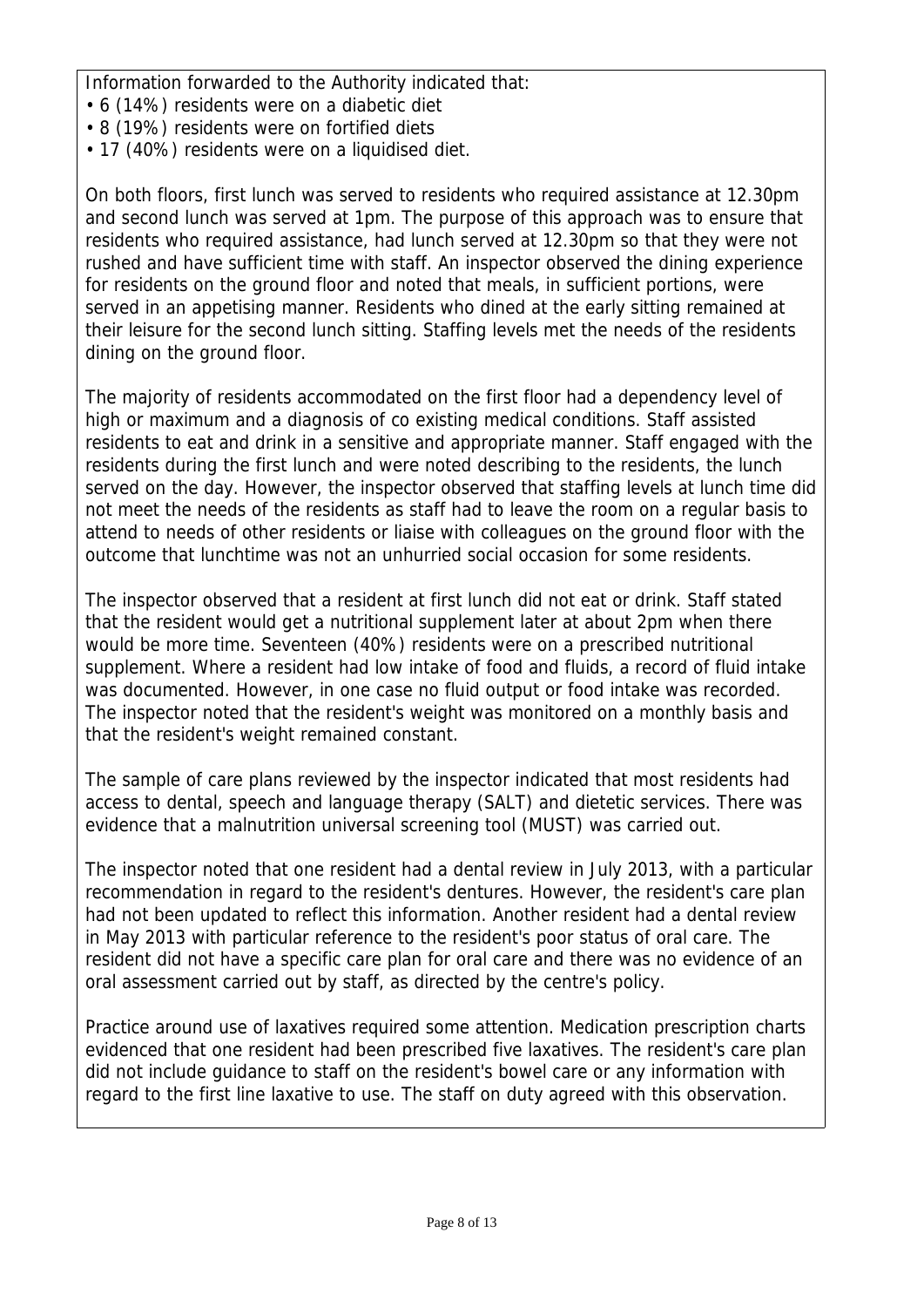Information forwarded to the Authority indicated that:

- 6 (14%) residents were on a diabetic diet
- 8 (19%) residents were on fortified diets
- 17 (40%) residents were on a liquidised diet.

On both floors, first lunch was served to residents who required assistance at 12.30pm and second lunch was served at 1pm. The purpose of this approach was to ensure that residents who required assistance, had lunch served at 12.30pm so that they were not rushed and have sufficient time with staff. An inspector observed the dining experience for residents on the ground floor and noted that meals, in sufficient portions, were served in an appetising manner. Residents who dined at the early sitting remained at their leisure for the second lunch sitting. Staffing levels met the needs of the residents dining on the ground floor.

The majority of residents accommodated on the first floor had a dependency level of high or maximum and a diagnosis of co existing medical conditions. Staff assisted residents to eat and drink in a sensitive and appropriate manner. Staff engaged with the residents during the first lunch and were noted describing to the residents, the lunch served on the day. However, the inspector observed that staffing levels at lunch time did not meet the needs of the residents as staff had to leave the room on a regular basis to attend to needs of other residents or liaise with colleagues on the ground floor with the outcome that lunchtime was not an unhurried social occasion for some residents.

The inspector observed that a resident at first lunch did not eat or drink. Staff stated that the resident would get a nutritional supplement later at about 2pm when there would be more time. Seventeen (40%) residents were on a prescribed nutritional supplement. Where a resident had low intake of food and fluids, a record of fluid intake was documented. However, in one case no fluid output or food intake was recorded. The inspector noted that the resident's weight was monitored on a monthly basis and that the resident's weight remained constant.

The sample of care plans reviewed by the inspector indicated that most residents had access to dental, speech and language therapy (SALT) and dietetic services. There was evidence that a malnutrition universal screening tool (MUST) was carried out.

The inspector noted that one resident had a dental review in July 2013, with a particular recommendation in regard to the resident's dentures. However, the resident's care plan had not been updated to reflect this information. Another resident had a dental review in May 2013 with particular reference to the resident's poor status of oral care. The resident did not have a specific care plan for oral care and there was no evidence of an oral assessment carried out by staff, as directed by the centre's policy.

Practice around use of laxatives required some attention. Medication prescription charts evidenced that one resident had been prescribed five laxatives. The resident's care plan did not include guidance to staff on the resident's bowel care or any information with regard to the first line laxative to use. The staff on duty agreed with this observation.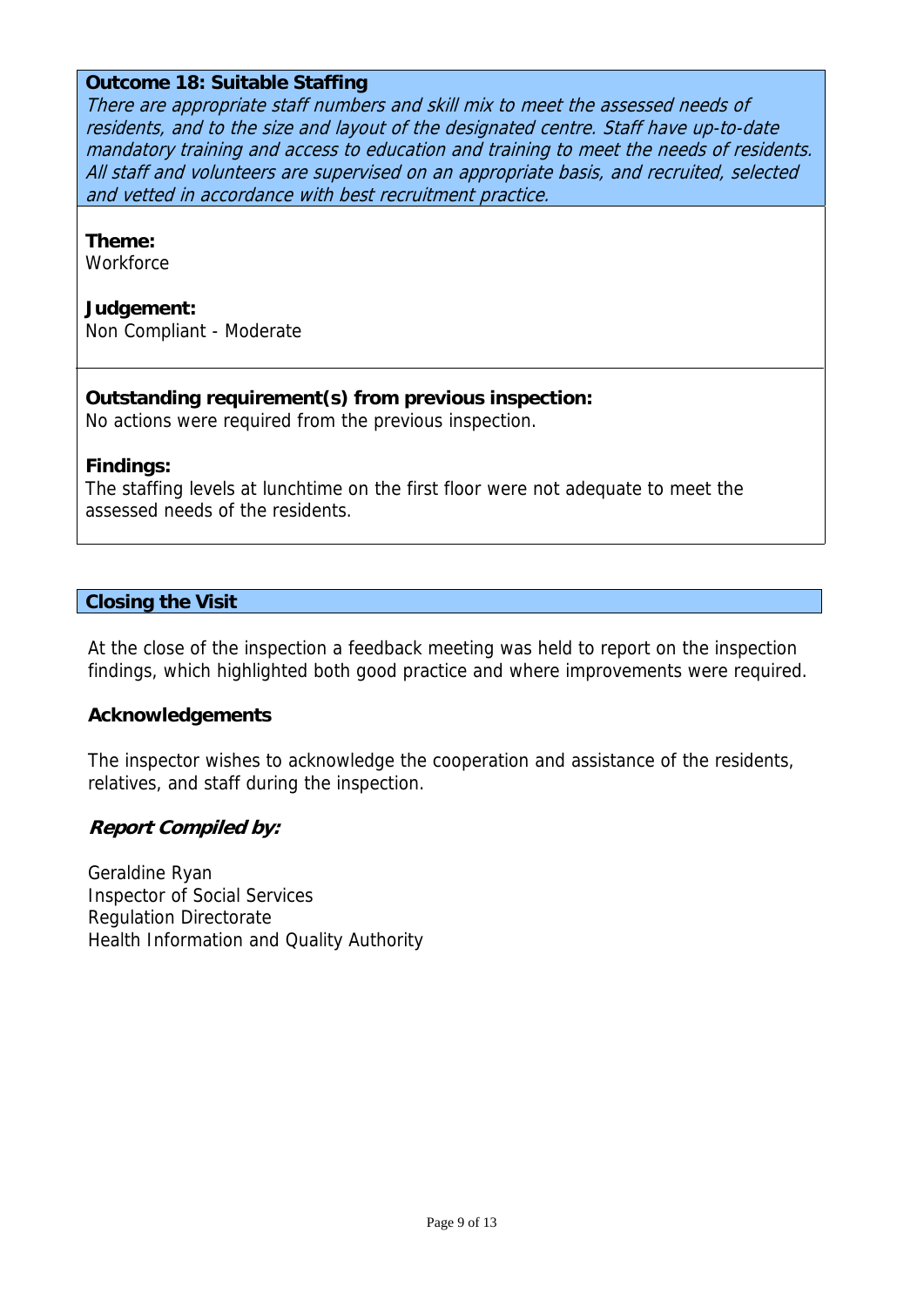### **Outcome 18: Suitable Staffing**

There are appropriate staff numbers and skill mix to meet the assessed needs of residents, and to the size and layout of the designated centre. Staff have up-to-date mandatory training and access to education and training to meet the needs of residents. All staff and volunteers are supervised on an appropriate basis, and recruited, selected and vetted in accordance with best recruitment practice.

#### **Theme:**

**Workforce** 

#### **Judgement:**

Non Compliant - Moderate

### **Outstanding requirement(s) from previous inspection:**

No actions were required from the previous inspection.

### **Findings:**

The staffing levels at lunchtime on the first floor were not adequate to meet the assessed needs of the residents.

### **Closing the Visit**

At the close of the inspection a feedback meeting was held to report on the inspection findings, which highlighted both good practice and where improvements were required.

### **Acknowledgements**

The inspector wishes to acknowledge the cooperation and assistance of the residents, relatives, and staff during the inspection.

### **Report Compiled by:**

Geraldine Ryan Inspector of Social Services Regulation Directorate Health Information and Quality Authority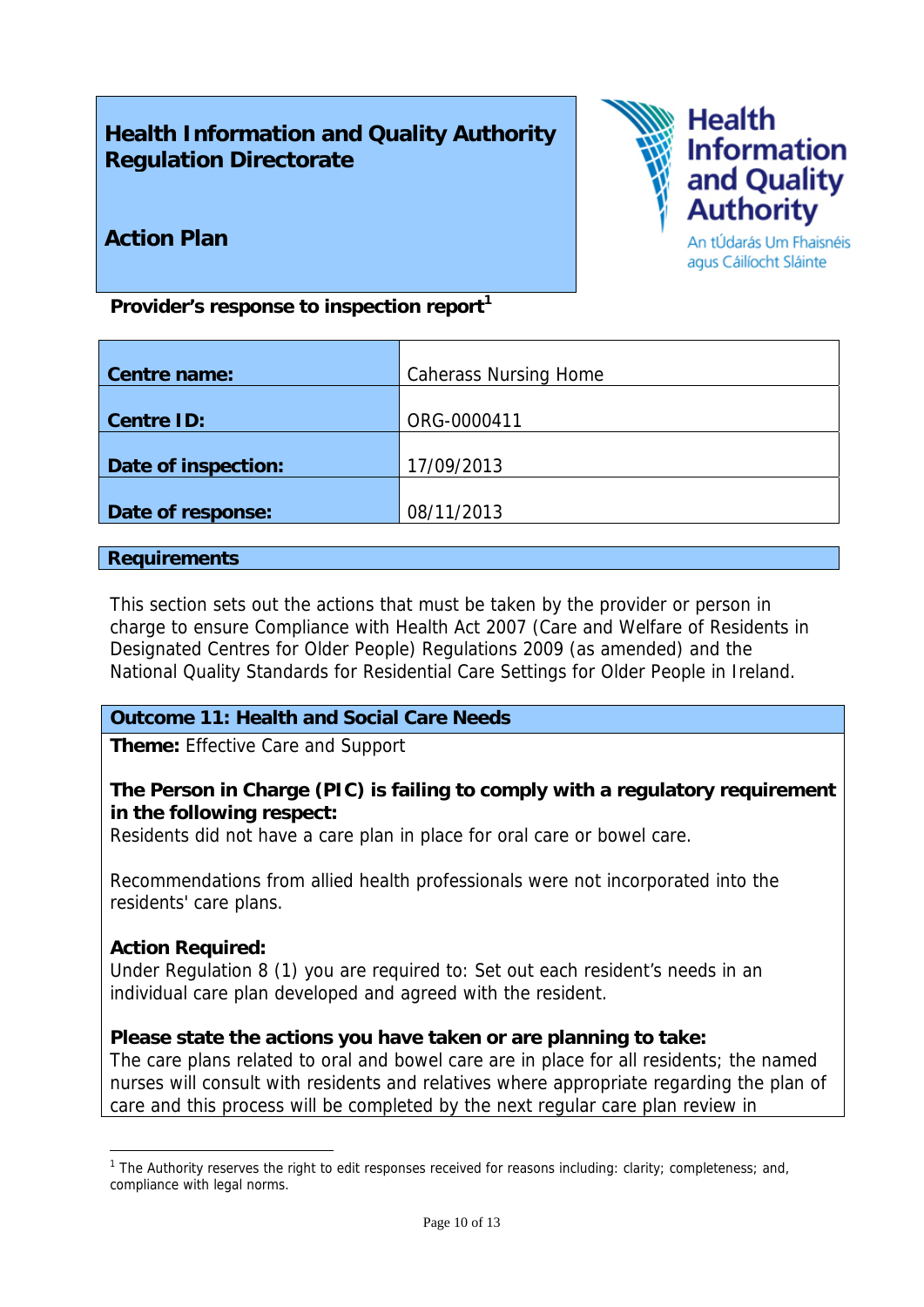# **Health Information and Quality Authority Regulation Directorate**



# **Action Plan**

An tÚdarás Um Fhaisnéis agus Cáilíocht Sláinte

Provider's response to inspection report<sup>1</sup>

| <b>Centre name:</b> | <b>Caherass Nursing Home</b> |
|---------------------|------------------------------|
|                     |                              |
| <b>Centre ID:</b>   | ORG-0000411                  |
|                     |                              |
| Date of inspection: | 17/09/2013                   |
|                     |                              |
| Date of response:   | 08/11/2013                   |

### **Requirements**

This section sets out the actions that must be taken by the provider or person in charge to ensure Compliance with Health Act 2007 (Care and Welfare of Residents in Designated Centres for Older People) Regulations 2009 (as amended) and the National Quality Standards for Residential Care Settings for Older People in Ireland.

## **Outcome 11: Health and Social Care Needs**

**Theme:** Effective Care and Support

## **The Person in Charge (PIC) is failing to comply with a regulatory requirement in the following respect:**

Residents did not have a care plan in place for oral care or bowel care.

Recommendations from allied health professionals were not incorporated into the residents' care plans.

## **Action Required:**

1

Under Regulation 8 (1) you are required to: Set out each resident's needs in an individual care plan developed and agreed with the resident.

## **Please state the actions you have taken or are planning to take:**

The care plans related to oral and bowel care are in place for all residents; the named nurses will consult with residents and relatives where appropriate regarding the plan of care and this process will be completed by the next regular care plan review in

<sup>&</sup>lt;sup>1</sup> The Authority reserves the right to edit responses received for reasons including: clarity; completeness; and, compliance with legal norms.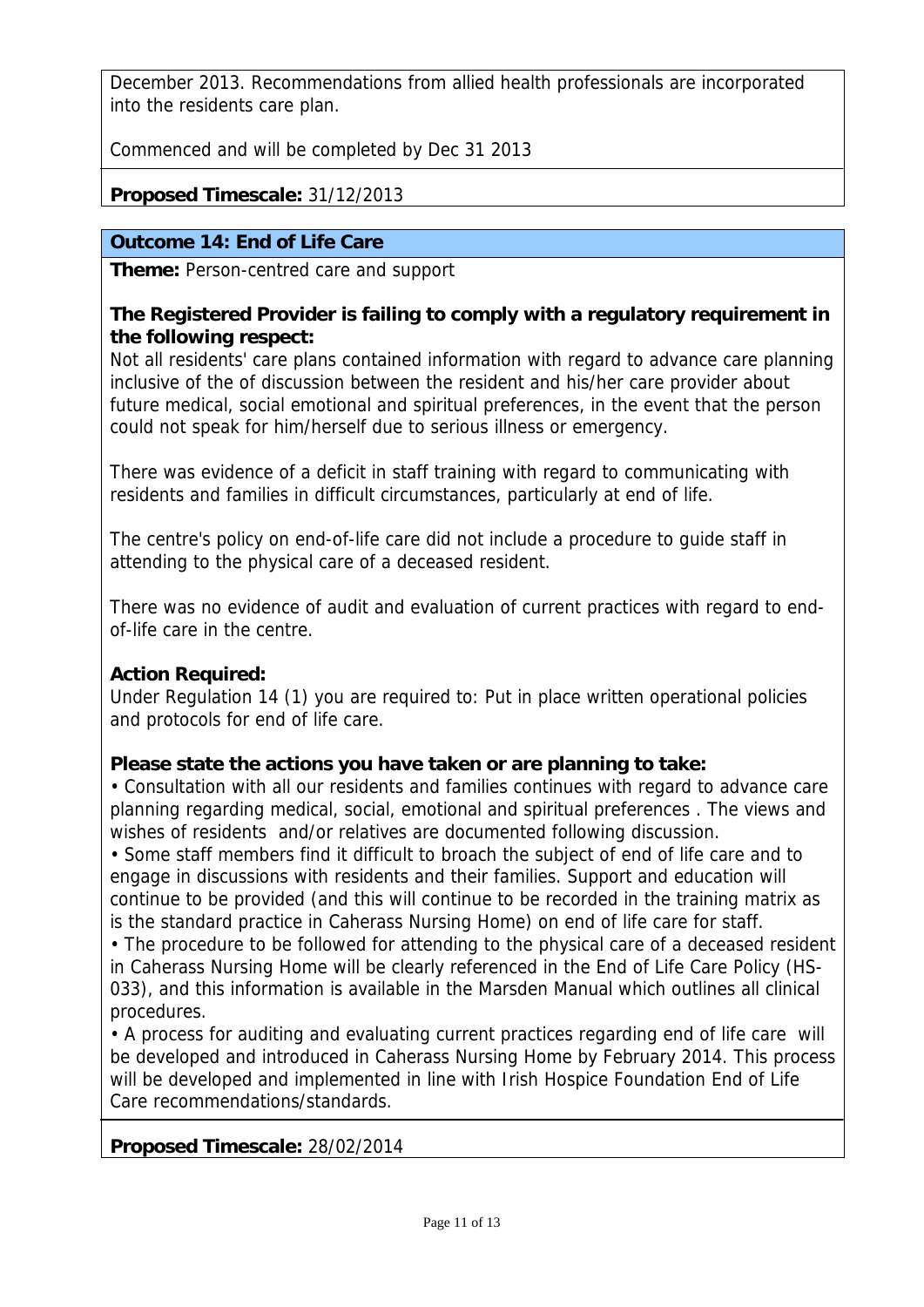December 2013. Recommendations from allied health professionals are incorporated into the residents care plan.

Commenced and will be completed by Dec 31 2013

# **Proposed Timescale:** 31/12/2013

# **Outcome 14: End of Life Care**

**Theme:** Person-centred care and support

## **The Registered Provider is failing to comply with a regulatory requirement in the following respect:**

Not all residents' care plans contained information with regard to advance care planning inclusive of the of discussion between the resident and his/her care provider about future medical, social emotional and spiritual preferences, in the event that the person could not speak for him/herself due to serious illness or emergency.

There was evidence of a deficit in staff training with regard to communicating with residents and families in difficult circumstances, particularly at end of life.

The centre's policy on end-of-life care did not include a procedure to guide staff in attending to the physical care of a deceased resident.

There was no evidence of audit and evaluation of current practices with regard to endof-life care in the centre.

# **Action Required:**

Under Regulation 14 (1) you are required to: Put in place written operational policies and protocols for end of life care.

# **Please state the actions you have taken or are planning to take:**

• Consultation with all our residents and families continues with regard to advance care planning regarding medical, social, emotional and spiritual preferences . The views and wishes of residents and/or relatives are documented following discussion.

• Some staff members find it difficult to broach the subject of end of life care and to engage in discussions with residents and their families. Support and education will continue to be provided (and this will continue to be recorded in the training matrix as is the standard practice in Caherass Nursing Home) on end of life care for staff.

• The procedure to be followed for attending to the physical care of a deceased resident in Caherass Nursing Home will be clearly referenced in the End of Life Care Policy (HS-033), and this information is available in the Marsden Manual which outlines all clinical procedures.

• A process for auditing and evaluating current practices regarding end of life care will be developed and introduced in Caherass Nursing Home by February 2014. This process will be developed and implemented in line with Irish Hospice Foundation End of Life Care recommendations/standards.

**Proposed Timescale:** 28/02/2014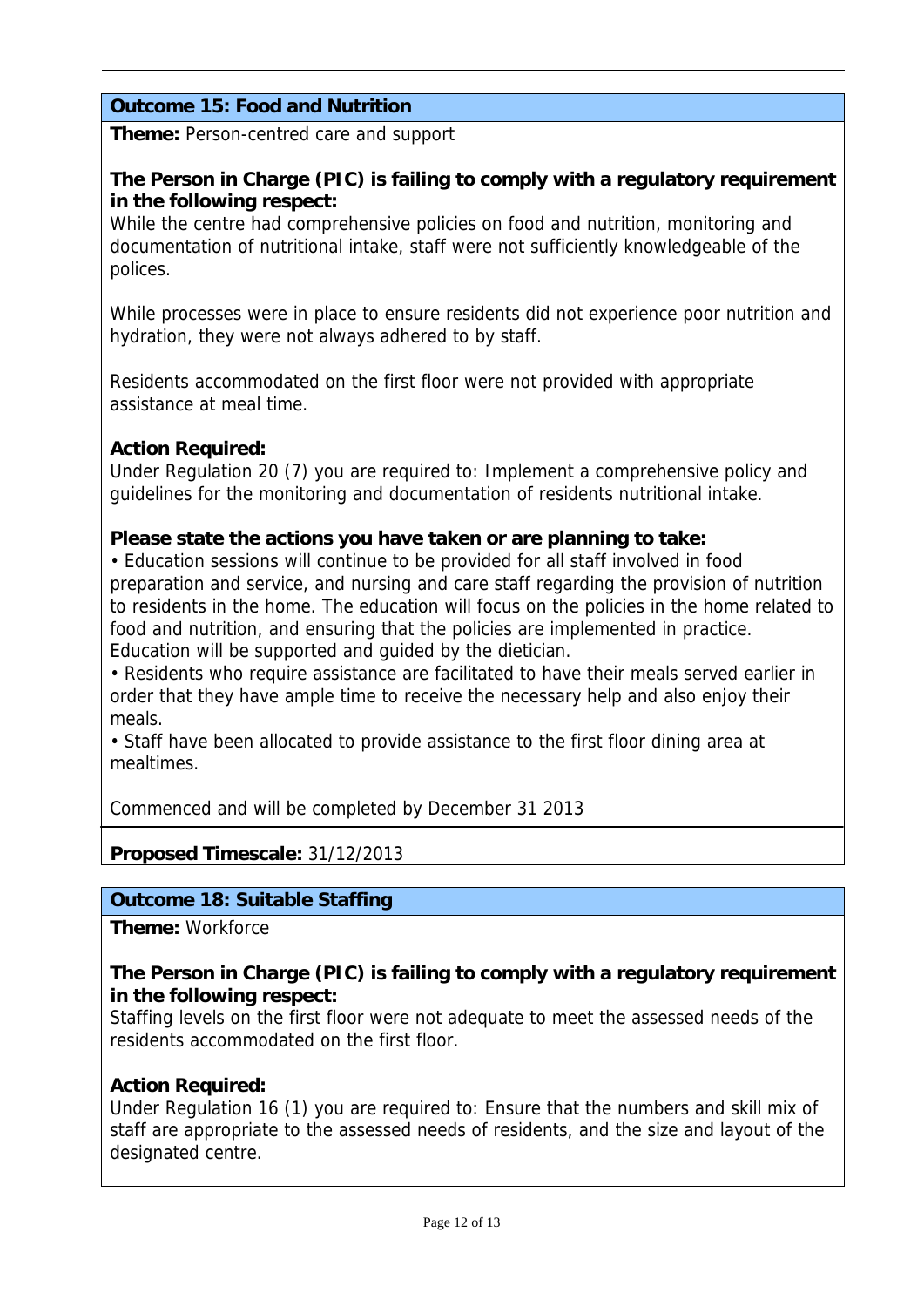# **Outcome 15: Food and Nutrition**

**Theme:** Person-centred care and support

## **The Person in Charge (PIC) is failing to comply with a regulatory requirement in the following respect:**

While the centre had comprehensive policies on food and nutrition, monitoring and documentation of nutritional intake, staff were not sufficiently knowledgeable of the polices.

While processes were in place to ensure residents did not experience poor nutrition and hydration, they were not always adhered to by staff.

Residents accommodated on the first floor were not provided with appropriate assistance at meal time.

## **Action Required:**

Under Regulation 20 (7) you are required to: Implement a comprehensive policy and guidelines for the monitoring and documentation of residents nutritional intake.

### **Please state the actions you have taken or are planning to take:**

• Education sessions will continue to be provided for all staff involved in food preparation and service, and nursing and care staff regarding the provision of nutrition to residents in the home. The education will focus on the policies in the home related to food and nutrition, and ensuring that the policies are implemented in practice. Education will be supported and guided by the dietician.

• Residents who require assistance are facilitated to have their meals served earlier in order that they have ample time to receive the necessary help and also enjoy their meals.

• Staff have been allocated to provide assistance to the first floor dining area at mealtimes.

Commenced and will be completed by December 31 2013

## **Proposed Timescale:** 31/12/2013

## **Outcome 18: Suitable Staffing**

**Theme:** Workforce

## **The Person in Charge (PIC) is failing to comply with a regulatory requirement in the following respect:**

Staffing levels on the first floor were not adequate to meet the assessed needs of the residents accommodated on the first floor.

### **Action Required:**

Under Regulation 16 (1) you are required to: Ensure that the numbers and skill mix of staff are appropriate to the assessed needs of residents, and the size and layout of the designated centre.